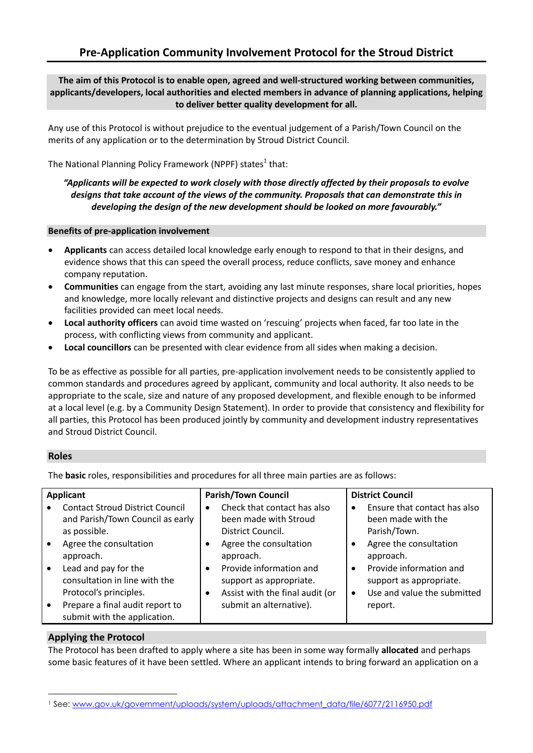### **The aim of this Protocol is to enable open, agreed and well-structured working between communities, applicants/developers, local authorities and elected members in advance of planning applications, helping to deliver better quality development for all.**

Any use of this Protocol is without prejudice to the eventual judgement of a Parish/Town Council on the merits of any application or to the determination by Stroud District Council.

The National Planning Policy Framework (NPPF) states<sup>1</sup> that:

## *"Applicants will be expected to work closely with those directly affected by their proposals to evolve designs that take account of the views of the community. Proposals that can demonstrate this in developing the design of the new development should be looked on more favourably."*

#### **Benefits of pre-application involvement**

- **Applicants** can access detailed local knowledge early enough to respond to that in their designs, and evidence shows that this can speed the overall process, reduce conflicts, save money and enhance company reputation.
- **Communities** can engage from the start, avoiding any last minute responses, share local priorities, hopes and knowledge, more locally relevant and distinctive projects and designs can result and any new facilities provided can meet local needs.
- **Local authority officers** can avoid time wasted on 'rescuing' projects when faced, far too late in the process, with conflicting views from community and applicant.
- **Local councillors** can be presented with clear evidence from all sides when making a decision.

To be as effective as possible for all parties, pre-application involvement needs to be consistently applied to common standards and procedures agreed by applicant, community and local authority. It also needs to be appropriate to the scale, size and nature of any proposed development, and flexible enough to be informed at a local level (e.g. by a Community Design Statement). In order to provide that consistency and flexibility for all parties, this Protocol has been produced jointly by community and development industry representatives and Stroud District Council.

## **Roles**

The **basic** roles, responsibilities and procedures for all three main parties are as follows:

| Check that contact has also<br>Ensure that contact has also<br><b>Contact Stroud District Council</b><br>$\bullet$<br>and Parish/Town Council as early<br>been made with Stroud<br>been made with the<br>Parish/Town.<br>as possible.<br>District Council.<br>Agree the consultation<br>Agree the consultation<br>Agree the consultation<br>$\bullet$<br>approach.<br>approach.<br>approach.<br>Lead and pay for the<br>Provide information and<br>Provide information and<br>$\bullet$<br>$\bullet$<br>٠<br>consultation in line with the<br>support as appropriate.<br>support as appropriate.<br>Use and value the submitted<br>Protocol's principles.<br>Assist with the final audit (or<br>$\bullet$<br>$\bullet$ | Applicant                       | <b>Parish/Town Council</b> | <b>District Council</b> |
|------------------------------------------------------------------------------------------------------------------------------------------------------------------------------------------------------------------------------------------------------------------------------------------------------------------------------------------------------------------------------------------------------------------------------------------------------------------------------------------------------------------------------------------------------------------------------------------------------------------------------------------------------------------------------------------------------------------------|---------------------------------|----------------------------|-------------------------|
| submit with the application.                                                                                                                                                                                                                                                                                                                                                                                                                                                                                                                                                                                                                                                                                           | Prepare a final audit report to | submit an alternative).    | report.                 |

# **Applying the Protocol**

The Protocol has been drafted to apply where a site has been in some way formally **allocated** and perhaps some basic features of it have been settled. Where an applicant intends to bring forward an application on a

l <sup>1</sup> See: [www.gov.uk/government/uploads/system/uploads/attachment\\_data/file/6077/2116950.pdf](http://www.gov.uk/government/uploads/system/uploads/attachment_data/file/6077/2116950.pdf)